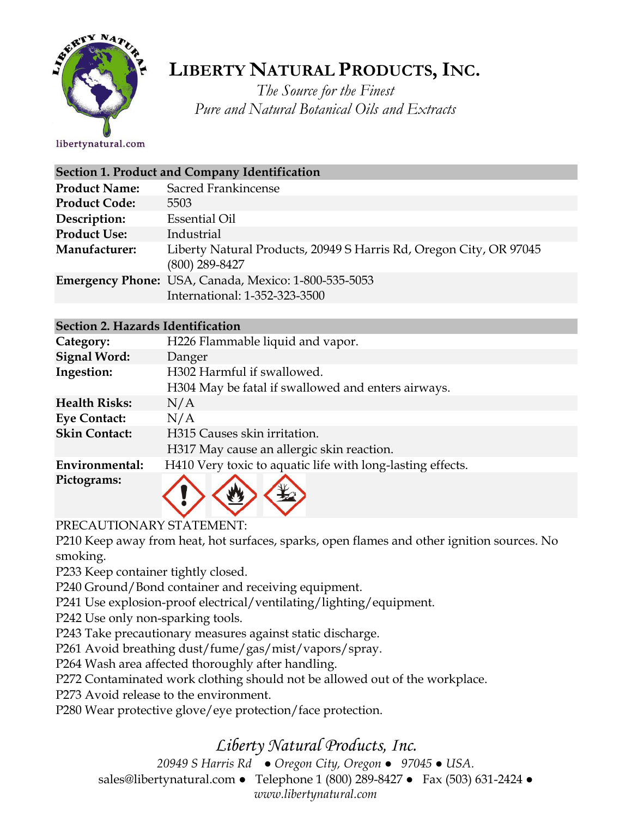

# **LIBERTY NATURAL PRODUCTS,INC.**

*The Source for the Finest Pure and Natural Botanical Oils and Extracts*

libertynatural.com

|                      | Section 1. Product and Company Identification                                          |
|----------------------|----------------------------------------------------------------------------------------|
| <b>Product Name:</b> | Sacred Frankincense                                                                    |
| <b>Product Code:</b> | 5503                                                                                   |
| Description:         | <b>Essential Oil</b>                                                                   |
| <b>Product Use:</b>  | Industrial                                                                             |
| Manufacturer:        | Liberty Natural Products, 20949 S Harris Rd, Oregon City, OR 97045<br>$(800)$ 289-8427 |
|                      | Emergency Phone: USA, Canada, Mexico: 1-800-535-5053<br>International: 1-352-323-3500  |

|                     | Section 2. Hazards Identification                  |
|---------------------|----------------------------------------------------|
| Category:           | H226 Flammable liquid and vapor.                   |
| <b>Signal Word:</b> | Danger                                             |
| Ingestion:          | H302 Harmful if swallowed.                         |
|                     | H304 May be fatal if swallowed and enters airways. |
|                     |                                                    |

| <b>Health Risks:</b> | N/A                                                        |
|----------------------|------------------------------------------------------------|
| <b>Eye Contact:</b>  | N/A                                                        |
| <b>Skin Contact:</b> | H315 Causes skin irritation.                               |
|                      | H317 May cause an allergic skin reaction.                  |
| Environmental:       | H410 Very toxic to aquatic life with long-lasting effects. |
| Pictograms:          |                                                            |

PRECAUTIONARY STATEMENT:

P210 Keep away from heat, hot surfaces, sparks, open flames and other ignition sources. No smoking.

P233 Keep container tightly closed.

P240 Ground/Bond container and receiving equipment.

 $\vee$   $\vee$ 

P241 Use explosion-proof electrical/ventilating/lighting/equipment.

P242 Use only non-sparking tools.

P243 Take precautionary measures against static discharge.

P261 Avoid breathing dust/fume/gas/mist/vapors/spray.

P264 Wash area affected thoroughly after handling.

P272 Contaminated work clothing should not be allowed out of the workplace.

P273 Avoid release to the environment.

P280 Wear protective glove/eye protection/face protection.

# *Liberty Natural Products, Inc.*

*20949 S Harris Rd ● Oregon City, Oregon ● 97045 ● USA.* 

sales@libertynatural.com *●* Telephone 1 (800) 289-8427 ● Fax (503) 631-2424 *●*

*www.libertynatural.com*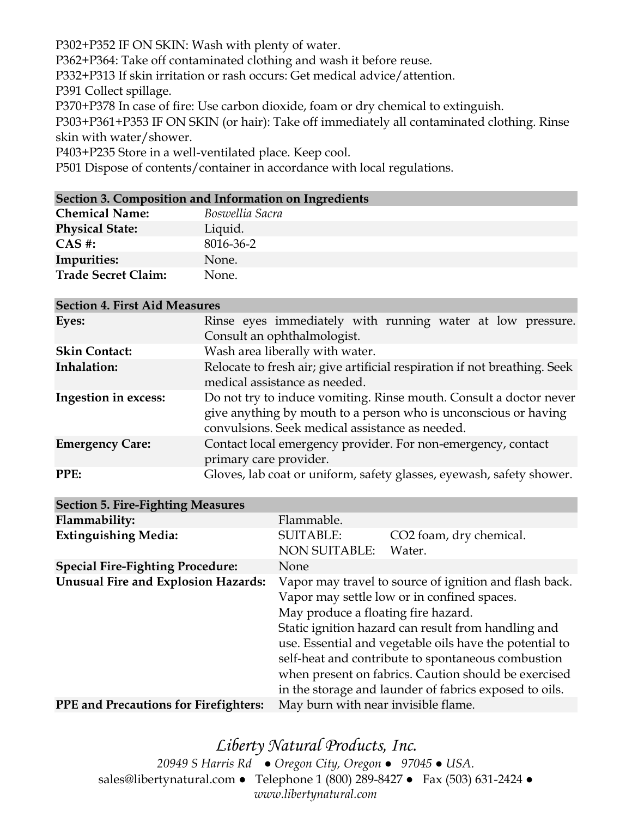P302+P352 IF ON SKIN: Wash with plenty of water.

P362+P364: Take off contaminated clothing and wash it before reuse.

P332+P313 If skin irritation or rash occurs: Get medical advice/attention.

P391 Collect spillage.

P370+P378 In case of fire: Use carbon dioxide, foam or dry chemical to extinguish.

P303+P361+P353 IF ON SKIN (or hair): Take off immediately all contaminated clothing. Rinse skin with water/shower.

P403+P235 Store in a well-ventilated place. Keep cool.

P501 Dispose of contents/container in accordance with local regulations.

#### **Section 3. Composition and Information on Ingredients**

| <b>Chemical Name:</b>      | Boswellia Sacra |
|----------------------------|-----------------|
| <b>Physical State:</b>     | Liquid.         |
| $CAS$ #:                   | 8016-36-2       |
| Impurities:                | None.           |
| <b>Trade Secret Claim:</b> | None.           |

#### **Section 4. First Aid Measures**

| Eyes:                  | Rinse eyes immediately with running water at low pressure.                                                                                                                               |
|------------------------|------------------------------------------------------------------------------------------------------------------------------------------------------------------------------------------|
|                        | Consult an ophthalmologist.                                                                                                                                                              |
| <b>Skin Contact:</b>   | Wash area liberally with water.                                                                                                                                                          |
| Inhalation:            | Relocate to fresh air; give artificial respiration if not breathing. Seek<br>medical assistance as needed.                                                                               |
| Ingestion in excess:   | Do not try to induce vomiting. Rinse mouth. Consult a doctor never<br>give anything by mouth to a person who is unconscious or having<br>convulsions. Seek medical assistance as needed. |
| <b>Emergency Care:</b> | Contact local emergency provider. For non-emergency, contact<br>primary care provider.                                                                                                   |
| PPE:                   | Gloves, lab coat or uniform, safety glasses, eyewash, safety shower.                                                                                                                     |

| <b>Section 5. Fire-Fighting Measures</b>     |                                     |                                                         |
|----------------------------------------------|-------------------------------------|---------------------------------------------------------|
| Flammability:                                | Flammable.                          |                                                         |
| <b>Extinguishing Media:</b>                  | <b>SUITABLE:</b>                    | CO <sub>2</sub> foam, dry chemical.                     |
|                                              | <b>NON SUITABLE:</b>                | Water.                                                  |
| <b>Special Fire-Fighting Procedure:</b>      | None                                |                                                         |
| <b>Unusual Fire and Explosion Hazards:</b>   |                                     | Vapor may travel to source of ignition and flash back.  |
|                                              |                                     | Vapor may settle low or in confined spaces.             |
|                                              | May produce a floating fire hazard. |                                                         |
|                                              |                                     | Static ignition hazard can result from handling and     |
|                                              |                                     | use. Essential and vegetable oils have the potential to |
|                                              |                                     | self-heat and contribute to spontaneous combustion      |
|                                              |                                     | when present on fabrics. Caution should be exercised    |
|                                              |                                     | in the storage and launder of fabrics exposed to oils.  |
| <b>PPE and Precautions for Firefighters:</b> | May burn with near invisible flame. |                                                         |

### *Liberty Natural Products, Inc. 20949 S Harris Rd ● Oregon City, Oregon ● 97045 ● USA.*  sales@libertynatural.com *●* Telephone 1 (800) 289-8427 ● Fax (503) 631-2424 *● www.libertynatural.com*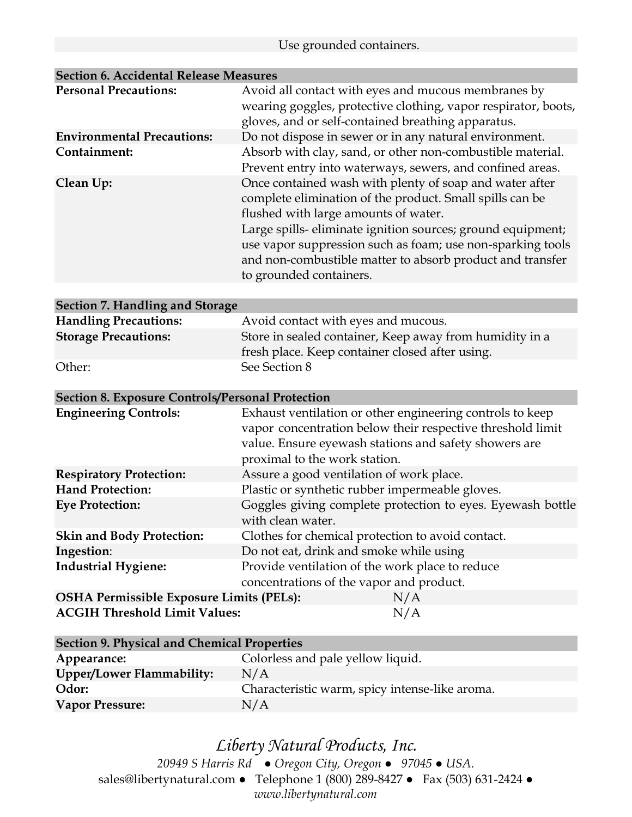#### Use grounded containers.

| <b>Personal Precautions:</b>      | Avoid all contact with eyes and mucous membranes by<br>wearing goggles, protective clothing, vapor respirator, boots,<br>gloves, and or self-contained breathing apparatus.                                                                                                                                                                                                     |
|-----------------------------------|---------------------------------------------------------------------------------------------------------------------------------------------------------------------------------------------------------------------------------------------------------------------------------------------------------------------------------------------------------------------------------|
| <b>Environmental Precautions:</b> | Do not dispose in sewer or in any natural environment.                                                                                                                                                                                                                                                                                                                          |
| Containment:                      | Absorb with clay, sand, or other non-combustible material.<br>Prevent entry into waterways, sewers, and confined areas.                                                                                                                                                                                                                                                         |
| Clean Up:                         | Once contained wash with plenty of soap and water after<br>complete elimination of the product. Small spills can be<br>flushed with large amounts of water.<br>Large spills-eliminate ignition sources; ground equipment;<br>use vapor suppression such as foam; use non-sparking tools<br>and non-combustible matter to absorb product and transfer<br>to grounded containers. |

### **Section 6. Accidental Release Measures**

#### **Section 7. Handling and Storage**

| <b>Handling Precautions:</b> | Avoid contact with eyes and mucous.                                                                        |
|------------------------------|------------------------------------------------------------------------------------------------------------|
| <b>Storage Precautions:</b>  | Store in sealed container, Keep away from humidity in a<br>fresh place. Keep container closed after using. |
| Other:                       | See Section 8                                                                                              |

#### **Section 8. Exposure Controls/Personal Protection**

| <b>Engineering Controls:</b>                    | Exhaust ventilation or other engineering controls to keep<br>vapor concentration below their respective threshold limit<br>value. Ensure eyewash stations and safety showers are |
|-------------------------------------------------|----------------------------------------------------------------------------------------------------------------------------------------------------------------------------------|
|                                                 | proximal to the work station.                                                                                                                                                    |
| <b>Respiratory Protection:</b>                  | Assure a good ventilation of work place.                                                                                                                                         |
| <b>Hand Protection:</b>                         | Plastic or synthetic rubber impermeable gloves.                                                                                                                                  |
| <b>Eye Protection:</b>                          | Goggles giving complete protection to eyes. Eyewash bottle<br>with clean water.                                                                                                  |
| <b>Skin and Body Protection:</b>                | Clothes for chemical protection to avoid contact.                                                                                                                                |
| Ingestion:                                      | Do not eat, drink and smoke while using                                                                                                                                          |
| <b>Industrial Hygiene:</b>                      | Provide ventilation of the work place to reduce                                                                                                                                  |
|                                                 | concentrations of the vapor and product.                                                                                                                                         |
| <b>OSHA Permissible Exposure Limits (PELs):</b> | N/A                                                                                                                                                                              |
| <b>ACGIH Threshold Limit Values:</b>            | N/A                                                                                                                                                                              |

| <b>Section 9. Physical and Chemical Properties</b> |                                                |
|----------------------------------------------------|------------------------------------------------|
| Appearance:                                        | Colorless and pale yellow liquid.              |
| <b>Upper/Lower Flammability:</b>                   | N/A                                            |
| Odor:                                              | Characteristic warm, spicy intense-like aroma. |
| <b>Vapor Pressure:</b>                             | N/A                                            |

# *Liberty Natural Products, Inc.*

*20949 S Harris Rd ● Oregon City, Oregon ● 97045 ● USA.*  sales@libertynatural.com *●* Telephone 1 (800) 289-8427 ● Fax (503) 631-2424 *● www.libertynatural.com*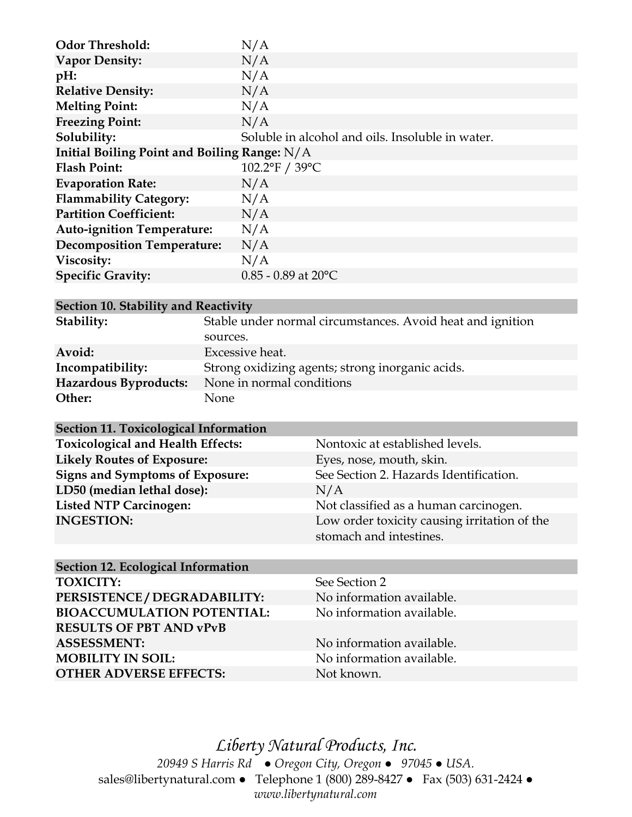| <b>Odor Threshold:</b>                         | N/A                                              |  |
|------------------------------------------------|--------------------------------------------------|--|
| <b>Vapor Density:</b>                          | N/A                                              |  |
| pH:                                            | N/A                                              |  |
| <b>Relative Density:</b>                       | N/A                                              |  |
| <b>Melting Point:</b>                          | N/A                                              |  |
| <b>Freezing Point:</b>                         | N/A                                              |  |
| Solubility:                                    | Soluble in alcohol and oils. Insoluble in water. |  |
| Initial Boiling Point and Boiling Range: $N/A$ |                                                  |  |
| <b>Flash Point:</b>                            | 102.2°F / 39°C                                   |  |
| <b>Evaporation Rate:</b>                       | N/A                                              |  |
| <b>Flammability Category:</b>                  | N/A                                              |  |
| <b>Partition Coefficient:</b>                  | N/A                                              |  |
| <b>Auto-ignition Temperature:</b>              | N/A                                              |  |
| <b>Decomposition Temperature:</b>              | N/A                                              |  |
| Viscosity:                                     | N/A                                              |  |
| <b>Specific Gravity:</b>                       | $0.85 - 0.89$ at 20°C                            |  |

| Section 10. Stability and Reactivity |                                                            |  |
|--------------------------------------|------------------------------------------------------------|--|
| Stability:                           | Stable under normal circumstances. Avoid heat and ignition |  |
|                                      | sources.                                                   |  |
| Avoid:                               | Excessive heat.                                            |  |
| Incompatibility:                     | Strong oxidizing agents; strong inorganic acids.           |  |
| Hazardous Byproducts:                | None in normal conditions                                  |  |
| Other:                               | None                                                       |  |

| <b>Section 11. Toxicological Information</b> |                                                                         |
|----------------------------------------------|-------------------------------------------------------------------------|
| <b>Toxicological and Health Effects:</b>     | Nontoxic at established levels.                                         |
| <b>Likely Routes of Exposure:</b>            | Eyes, nose, mouth, skin.                                                |
| <b>Signs and Symptoms of Exposure:</b>       | See Section 2. Hazards Identification.                                  |
| LD50 (median lethal dose):                   | N/A                                                                     |
| <b>Listed NTP Carcinogen:</b>                | Not classified as a human carcinogen.                                   |
| <b>INGESTION:</b>                            | Low order toxicity causing irritation of the<br>stomach and intestines. |
|                                              |                                                                         |

| <b>Section 12. Ecological Information</b> |                           |
|-------------------------------------------|---------------------------|
| <b>TOXICITY:</b>                          | See Section 2             |
| PERSISTENCE / DEGRADABILITY:              | No information available. |
| <b>BIOACCUMULATION POTENTIAL:</b>         | No information available. |
| <b>RESULTS OF PBT AND vPvB</b>            |                           |
| <b>ASSESSMENT:</b>                        | No information available. |
| <b>MOBILITY IN SOIL:</b>                  | No information available. |
| <b>OTHER ADVERSE EFFECTS:</b>             | Not known.                |

*Liberty Natural Products, Inc. 20949 S Harris Rd ● Oregon City, Oregon ● 97045 ● USA.*  sales@libertynatural.com *●* Telephone 1 (800) 289-8427 ● Fax (503) 631-2424 *● www.libertynatural.com*